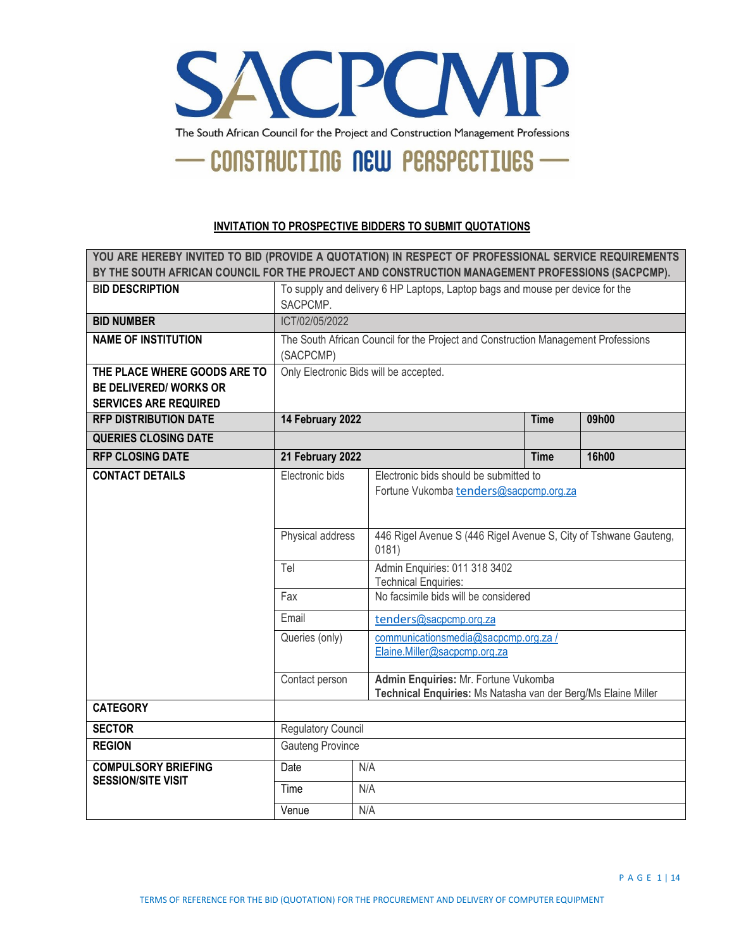

#### **INVITATION TO PROSPECTIVE BIDDERS TO SUBMIT QUOTATIONS**

| YOU ARE HEREBY INVITED TO BID (PROVIDE A QUOTATION) IN RESPECT OF PROFESSIONAL SERVICE REQUIREMENTS<br>BY THE SOUTH AFRICAN COUNCIL FOR THE PROJECT AND CONSTRUCTION MANAGEMENT PROFESSIONS (SACPCMP). |                                                                                                |                                                              |                                                                                                       |  |  |
|--------------------------------------------------------------------------------------------------------------------------------------------------------------------------------------------------------|------------------------------------------------------------------------------------------------|--------------------------------------------------------------|-------------------------------------------------------------------------------------------------------|--|--|
| <b>BID DESCRIPTION</b>                                                                                                                                                                                 | To supply and delivery 6 HP Laptops, Laptop bags and mouse per device for the<br>SACPCMP.      |                                                              |                                                                                                       |  |  |
| <b>BID NUMBER</b>                                                                                                                                                                                      | ICT/02/05/2022                                                                                 |                                                              |                                                                                                       |  |  |
| <b>NAME OF INSTITUTION</b>                                                                                                                                                                             | The South African Council for the Project and Construction Management Professions<br>(SACPCMP) |                                                              |                                                                                                       |  |  |
| THE PLACE WHERE GOODS ARE TO<br><b>BE DELIVERED/ WORKS OR</b><br><b>SERVICES ARE REQUIRED</b>                                                                                                          | Only Electronic Bids will be accepted.                                                         |                                                              |                                                                                                       |  |  |
| <b>RFP DISTRIBUTION DATE</b>                                                                                                                                                                           | 14 February 2022<br><b>Time</b><br>09h00                                                       |                                                              |                                                                                                       |  |  |
| <b>QUERIES CLOSING DATE</b>                                                                                                                                                                            |                                                                                                |                                                              |                                                                                                       |  |  |
| <b>RFP CLOSING DATE</b>                                                                                                                                                                                | 21 February 2022<br><b>Time</b>                                                                |                                                              | 16h00                                                                                                 |  |  |
| <b>CONTACT DETAILS</b>                                                                                                                                                                                 | Electronic bids                                                                                |                                                              | Electronic bids should be submitted to<br>Fortune Vukomba tenders@sacpcmp.org.za                      |  |  |
|                                                                                                                                                                                                        | 446 Rigel Avenue S (446 Rigel Avenue S, City of Tshwane Gauteng,<br>Physical address<br>0181)  |                                                              |                                                                                                       |  |  |
|                                                                                                                                                                                                        | Tel                                                                                            | Admin Enquiries: 011 318 3402<br><b>Technical Enquiries:</b> |                                                                                                       |  |  |
|                                                                                                                                                                                                        | No facsimile bids will be considered<br>Fax                                                    |                                                              |                                                                                                       |  |  |
|                                                                                                                                                                                                        | Email<br>tenders@sacpcmp.org.za                                                                |                                                              |                                                                                                       |  |  |
|                                                                                                                                                                                                        | Queries (only)                                                                                 |                                                              | communicationsmedia@sacpcmp.org.za /<br>Elaine.Miller@sacpcmp.org.za                                  |  |  |
|                                                                                                                                                                                                        | Contact person                                                                                 |                                                              | Admin Enquiries: Mr. Fortune Vukomba<br>Technical Enquiries: Ms Natasha van der Berg/Ms Elaine Miller |  |  |
| <b>CATEGORY</b>                                                                                                                                                                                        |                                                                                                |                                                              |                                                                                                       |  |  |
| <b>SECTOR</b>                                                                                                                                                                                          | <b>Regulatory Council</b>                                                                      |                                                              |                                                                                                       |  |  |
| <b>REGION</b>                                                                                                                                                                                          | <b>Gauteng Province</b>                                                                        |                                                              |                                                                                                       |  |  |
| <b>COMPULSORY BRIEFING</b>                                                                                                                                                                             | Date                                                                                           |                                                              | N/A                                                                                                   |  |  |
| <b>SESSION/SITE VISIT</b>                                                                                                                                                                              | Time                                                                                           |                                                              | N/A                                                                                                   |  |  |
|                                                                                                                                                                                                        | Venue                                                                                          | N/A                                                          |                                                                                                       |  |  |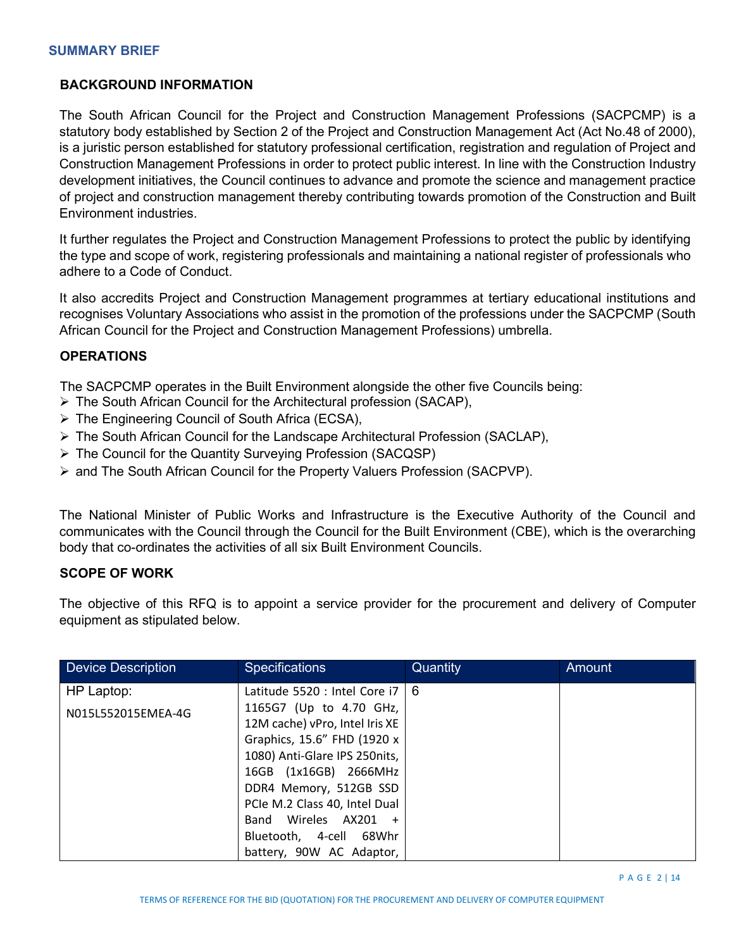# **BACKGROUND INFORMATION**

The South African Council for the Project and Construction Management Professions (SACPCMP) is a statutory body established by Section 2 of the Project and Construction Management Act (Act No.48 of 2000), is a juristic person established for statutory professional certification, registration and regulation of Project and Construction Management Professions in order to protect public interest. In line with the Construction Industry development initiatives, the Council continues to advance and promote the science and management practice of project and construction management thereby contributing towards promotion of the Construction and Built Environment industries.

It further regulates the Project and Construction Management Professions to protect the public by identifying the type and scope of work, registering professionals and maintaining a national register of professionals who adhere to a Code of Conduct.

It also accredits Project and Construction Management programmes at tertiary educational institutions and recognises Voluntary Associations who assist in the promotion of the professions under the SACPCMP (South African Council for the Project and Construction Management Professions) umbrella.

## **OPERATIONS**

The SACPCMP operates in the Built Environment alongside the other five Councils being:

- The South African Council for the Architectural profession (SACAP),
- The Engineering Council of South Africa (ECSA),
- $\triangleright$  The South African Council for the Landscape Architectural Profession (SACLAP),
- The Council for the Quantity Surveying Profession (SACQSP)
- $\triangleright$  and The South African Council for the Property Valuers Profession (SACPVP).

The National Minister of Public Works and Infrastructure is the Executive Authority of the Council and communicates with the Council through the Council for the Built Environment (CBE), which is the overarching body that co-ordinates the activities of all six Built Environment Councils.

## **SCOPE OF WORK**

The objective of this RFQ is to appoint a service provider for the procurement and delivery of Computer equipment as stipulated below.

| <b>Device Description</b> | <b>Specifications</b>                                                                                                                                                                                                                                            | Quantity | Amount |
|---------------------------|------------------------------------------------------------------------------------------------------------------------------------------------------------------------------------------------------------------------------------------------------------------|----------|--------|
| HP Laptop:                | Latitude 5520 : Intel Core i7                                                                                                                                                                                                                                    | l 6      |        |
| N015L552015EMEA-4G        | 1165G7 (Up to 4.70 GHz,<br>12M cache) vPro, Intel Iris XE<br>Graphics, 15.6" FHD (1920 x<br>1080) Anti-Glare IPS 250nits,<br>16GB (1x16GB) 2666MHz<br>DDR4 Memory, 512GB SSD<br>PCIe M.2 Class 40, Intel Dual<br>Band Wireles AX201 +<br>Bluetooth, 4-cell 68Whr |          |        |
|                           | battery, 90W AC Adaptor,                                                                                                                                                                                                                                         |          |        |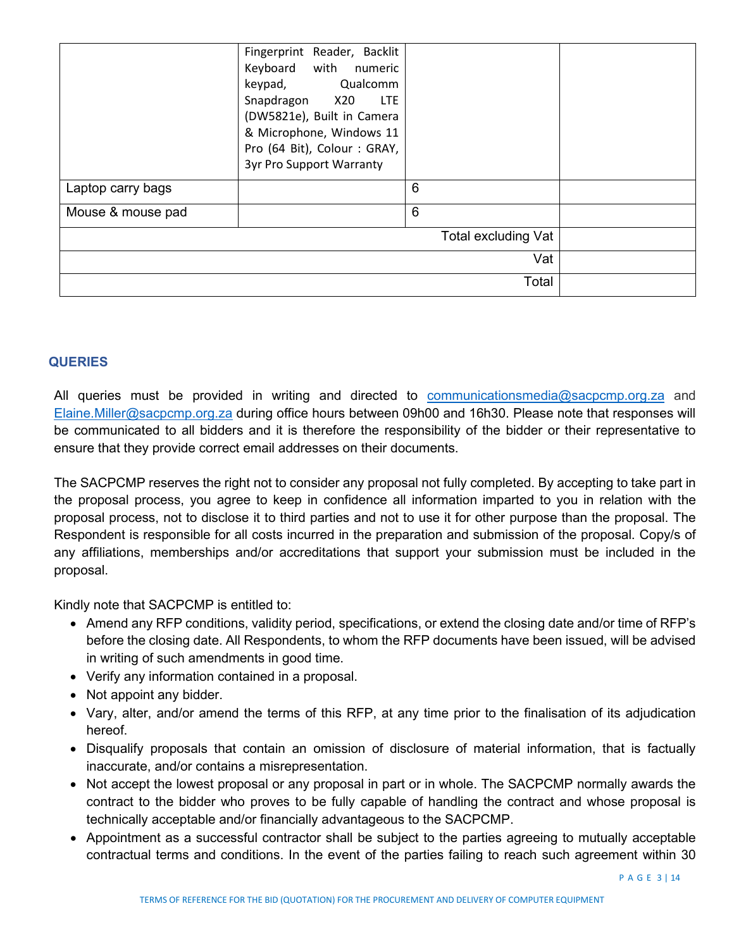|                   | Fingerprint Reader, Backlit<br>Keyboard with numeric<br>keypad, Qualcomm<br>Snapdragon X20<br>LTE<br>(DW5821e), Built in Camera<br>& Microphone, Windows 11<br>Pro (64 Bit), Colour: GRAY,<br><b>3yr Pro Support Warranty</b> |                     |  |
|-------------------|-------------------------------------------------------------------------------------------------------------------------------------------------------------------------------------------------------------------------------|---------------------|--|
| Laptop carry bags |                                                                                                                                                                                                                               | 6                   |  |
| Mouse & mouse pad |                                                                                                                                                                                                                               | $6\phantom{1}$      |  |
|                   |                                                                                                                                                                                                                               | Total excluding Vat |  |
|                   |                                                                                                                                                                                                                               | Vat                 |  |
|                   |                                                                                                                                                                                                                               | Total               |  |

## **QUERIES**

All queries must be provided in writing and directed to [communicationsmedia@sacpcmp.org.za](mailto:communicationsmedia@sacpcmp.org.za) and [Elaine.Miller@sacpcmp.org.za](mailto:Elaine.Miller@sacpcmp.org.za) during office hours between 09h00 and 16h30. Please note that responses will be communicated to all bidders and it is therefore the responsibility of the bidder or their representative to ensure that they provide correct email addresses on their documents.

The SACPCMP reserves the right not to consider any proposal not fully completed. By accepting to take part in the proposal process, you agree to keep in confidence all information imparted to you in relation with the proposal process, not to disclose it to third parties and not to use it for other purpose than the proposal. The Respondent is responsible for all costs incurred in the preparation and submission of the proposal. Copy/s of any affiliations, memberships and/or accreditations that support your submission must be included in the proposal.

Kindly note that SACPCMP is entitled to:

- Amend any RFP conditions, validity period, specifications, or extend the closing date and/or time of RFP's before the closing date. All Respondents, to whom the RFP documents have been issued, will be advised in writing of such amendments in good time.
- Verify any information contained in a proposal.
- Not appoint any bidder.
- Vary, alter, and/or amend the terms of this RFP, at any time prior to the finalisation of its adjudication hereof.
- Disqualify proposals that contain an omission of disclosure of material information, that is factually inaccurate, and/or contains a misrepresentation.
- Not accept the lowest proposal or any proposal in part or in whole. The SACPCMP normally awards the contract to the bidder who proves to be fully capable of handling the contract and whose proposal is technically acceptable and/or financially advantageous to the SACPCMP.
- Appointment as a successful contractor shall be subject to the parties agreeing to mutually acceptable contractual terms and conditions. In the event of the parties failing to reach such agreement within 30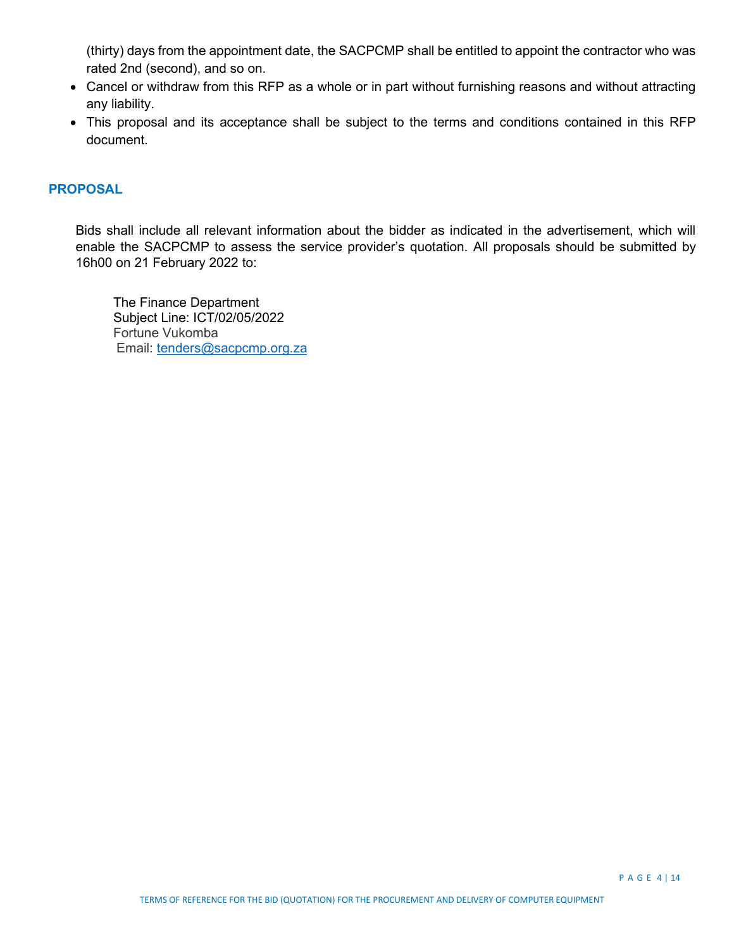(thirty) days from the appointment date, the SACPCMP shall be entitled to appoint the contractor who was rated 2nd (second), and so on.

- Cancel or withdraw from this RFP as a whole or in part without furnishing reasons and without attracting any liability.
- This proposal and its acceptance shall be subject to the terms and conditions contained in this RFP document.

#### **PROPOSAL**

Bids shall include all relevant information about the bidder as indicated in the advertisement, which will enable the SACPCMP to assess the service provider's quotation. All proposals should be submitted by 16h00 on 21 February 2022 to:

The Finance Department Subject Line: ICT/02/05/2022 Fortune Vukomba Email: [tenders@sacpcmp.org.za](mailto:tenders@sacpcmp.org.za)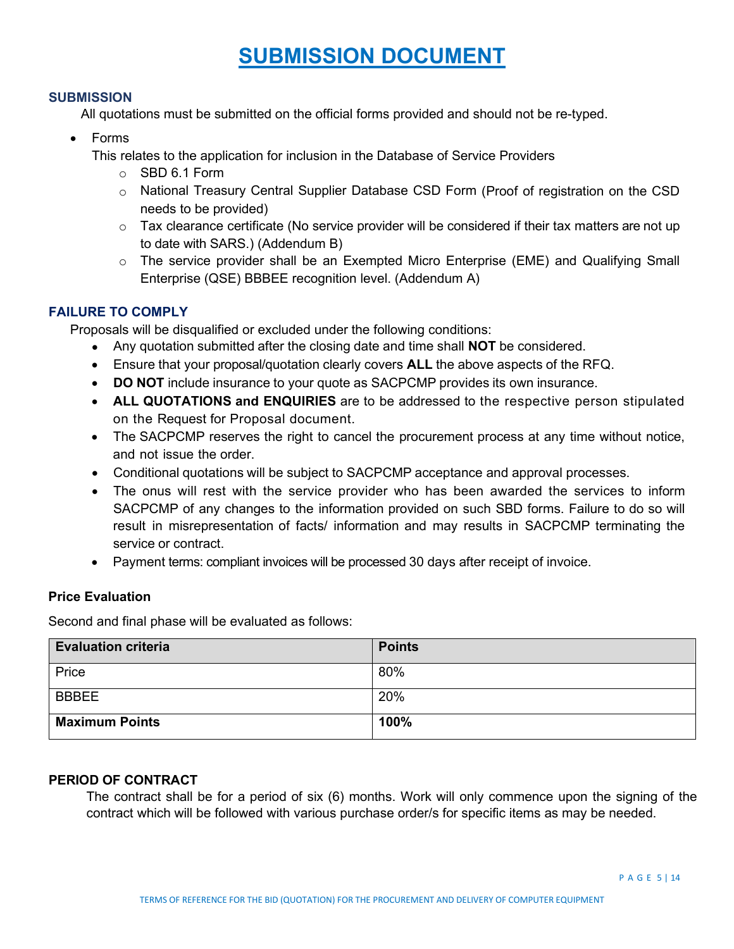# **SUBMISSION DOCUMENT**

#### **SUBMISSION**

All quotations must be submitted on the official forms provided and should not be re-typed.

• Forms

This relates to the application for inclusion in the Database of Service Providers

- o SBD 6.1 Form
- o National Treasury Central Supplier Database CSD Form (Proof of registration on the CSD needs to be provided)
- o Tax clearance certificate (No service provider will be considered if their tax matters are not up to date with SARS.) (Addendum B)
- o The service provider shall be an Exempted Micro Enterprise (EME) and Qualifying Small Enterprise (QSE) BBBEE recognition level. (Addendum A)

# **FAILURE TO COMPLY**

Proposals will be disqualified or excluded under the following conditions:

- Any quotation submitted after the closing date and time shall **NOT** be considered.
- Ensure that your proposal/quotation clearly covers **ALL** the above aspects of the RFQ.
- **DO NOT** include insurance to your quote as SACPCMP provides its own insurance.
- **ALL QUOTATIONS and ENQUIRIES** are to be addressed to the respective person stipulated on the Request for Proposal document.
- The SACPCMP reserves the right to cancel the procurement process at any time without notice, and not issue the order.
- Conditional quotations will be subject to SACPCMP acceptance and approval processes.
- The onus will rest with the service provider who has been awarded the services to inform SACPCMP of any changes to the information provided on such SBD forms. Failure to do so will result in misrepresentation of facts/ information and may results in SACPCMP terminating the service or contract.
- Payment terms: compliant invoices will be processed 30 days after receipt of invoice.

# **Price Evaluation**

Second and final phase will be evaluated as follows:

| <b>Evaluation criteria</b> | <b>Points</b> |
|----------------------------|---------------|
| Price                      | 80%           |
| <b>BBBEE</b>               | 20%           |
| <b>Maximum Points</b>      | 100%          |

## **PERIOD OF CONTRACT**

The contract shall be for a period of six (6) months. Work will only commence upon the signing of the contract which will be followed with various purchase order/s for specific items as may be needed.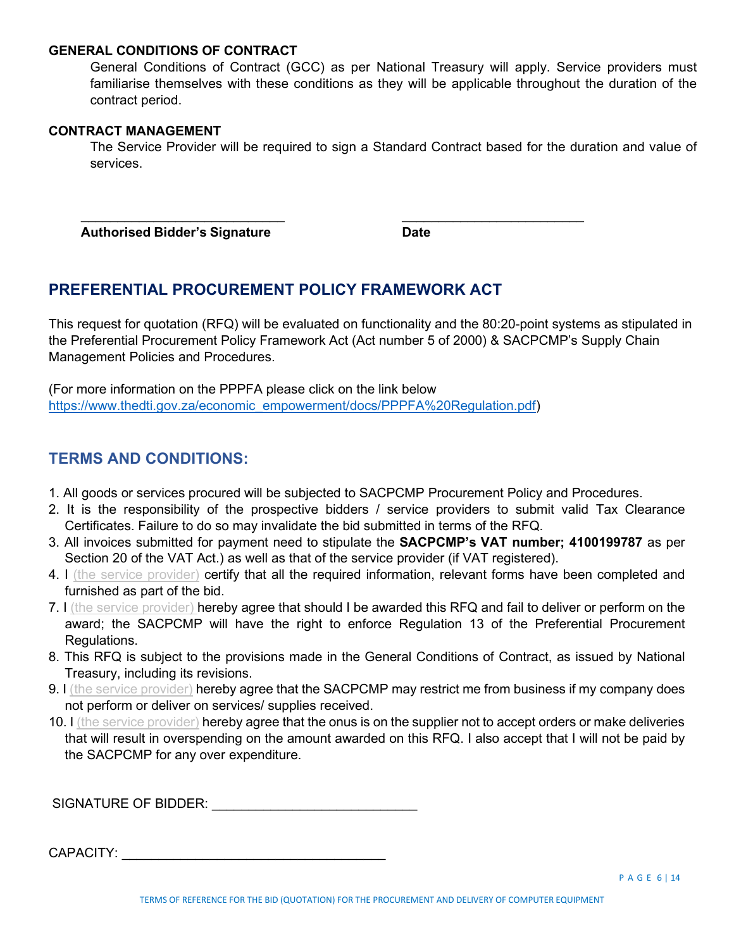#### **GENERAL CONDITIONS OF CONTRACT**

General Conditions of Contract (GCC) as per National Treasury will apply. Service providers must familiarise themselves with these conditions as they will be applicable throughout the duration of the contract period.

#### **CONTRACT MANAGEMENT**

The Service Provider will be required to sign a Standard Contract based for the duration and value of services.

 **Authorised Bidder's Signature Date**

# **PREFERENTIAL PROCUREMENT POLICY FRAMEWORK ACT**

 $\overline{\phantom{a}}$  , and the contribution of the contribution of the contribution of the contribution of the contribution of the contribution of the contribution of the contribution of the contribution of the contribution of the

This request for quotation (RFQ) will be evaluated on functionality and the 80:20-point systems as stipulated in the Preferential Procurement Policy Framework Act (Act number 5 of 2000) & SACPCMP's Supply Chain Management Policies and Procedures.

(For more information on the PPPFA please click on the link below [https://www.thedti.gov.za/economic\\_empowerment/docs/PPPFA%20Regulation.pdf\)](https://www.thedti.gov.za/economic_empowerment/docs/PPPFA%20Regulation.pdf)

# **TERMS AND CONDITIONS:**

- 1. All goods or services procured will be subjected to SACPCMP Procurement Policy and Procedures.
- 2. It is the responsibility of the prospective bidders / service providers to submit valid Tax Clearance Certificates. Failure to do so may invalidate the bid submitted in terms of the RFQ.
- 3. All invoices submitted for payment need to stipulate the **SACPCMP's VAT number; 4100199787** as per Section 20 of the VAT Act.) as well as that of the service provider (if VAT registered).
- 4. I (the service provider) certify that all the required information, relevant forms have been completed and furnished as part of the bid.
- 7. I (the service provider) hereby agree that should I be awarded this RFQ and fail to deliver or perform on the award; the SACPCMP will have the right to enforce Regulation 13 of the Preferential Procurement Regulations.
- 8. This RFQ is subject to the provisions made in the General Conditions of Contract, as issued by National Treasury, including its revisions.
- 9. I (the service provider) hereby agree that the SACPCMP may restrict me from business if my company does not perform or deliver on services/ supplies received.
- 10. I (the service provider) hereby agree that the onus is on the supplier not to accept orders or make deliveries that will result in overspending on the amount awarded on this RFQ. I also accept that I will not be paid by the SACPCMP for any over expenditure.

SIGNATURE OF BIDDER: \_\_\_\_\_\_\_\_\_\_\_\_\_\_\_\_\_\_\_\_\_\_\_\_\_\_\_\_

CAPACITY: \_\_\_\_\_\_\_\_\_\_\_\_\_\_\_\_\_\_\_\_\_\_\_\_\_\_\_\_\_\_\_\_\_\_\_\_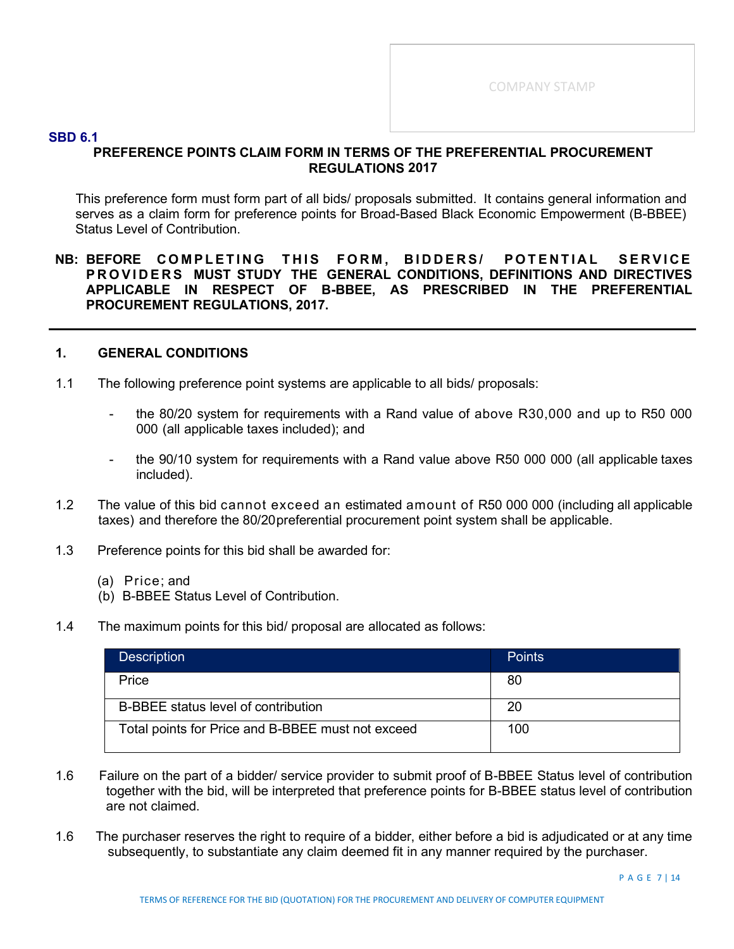#### **SBD 6.1**

# **PREFERENCE POINTS CLAIM FORM IN TERMS OF THE PREFERENTIAL PROCUREMENT REGULATIONS 2017**

This preference form must form part of all bids/ proposals submitted. It contains general information and serves as a claim form for preference points for Broad-Based Black Economic Empowerment (B-BBEE) Status Level of Contribution.

#### **NB: BEFORE COMPLETING THIS FORM , BIDDERS/ POTENTIAL SERVICE PROVIDERS MUST STUDY THE GENERAL CONDITIONS, DEFINITIONS AND DIRECTIVES APPLICABLE IN RESPECT OF B-BBEE, AS PRESCRIBED IN THE PREFERENTIAL PROCUREMENT REGULATIONS, 2017.**

#### **1. GENERAL CONDITIONS**

- 1.1 The following preference point systems are applicable to all bids/ proposals:
	- the 80/20 system for requirements with a Rand value of above R30,000 and up to R50 000 000 (all applicable taxes included); and
	- the 90/10 system for requirements with a Rand value above R50 000 000 (all applicable taxes included).
- 1.2 The value of this bid cannot exceed an estimated amount of R50 000 000 (including all applicable taxes) and therefore the 80/20preferential procurement point system shall be applicable.
- 1.3 Preference points for this bid shall be awarded for:
	- (a) Price; and
	- (b) B-BBEE Status Level of Contribution.
- 1.4 The maximum points for this bid/ proposal are allocated as follows:

| <b>Description</b>                                | <b>Points</b> |
|---------------------------------------------------|---------------|
| Price                                             | 80            |
| B-BBEE status level of contribution               | 20            |
| Total points for Price and B-BBEE must not exceed | 100           |

- 1.6 Failure on the part of a bidder/ service provider to submit proof of B-BBEE Status level of contribution together with the bid, will be interpreted that preference points for B-BBEE status level of contribution are not claimed.
- 1.6 The purchaser reserves the right to require of a bidder, either before a bid is adjudicated or at any time subsequently, to substantiate any claim deemed fit in any manner required by the purchaser.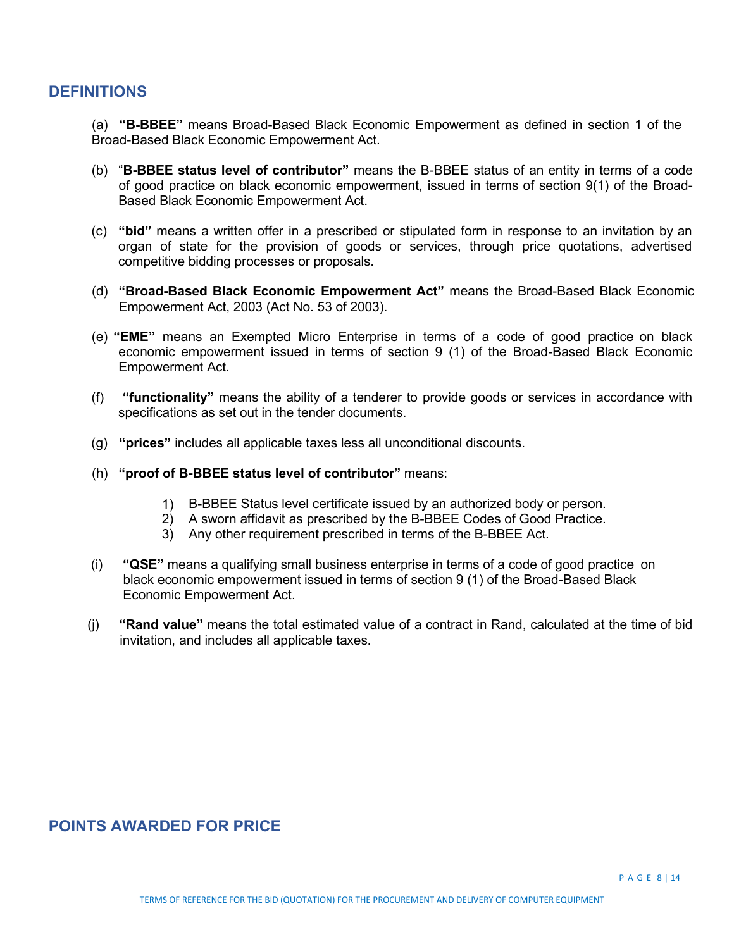# **DEFINITIONS**

(a) **"B-BBEE"** means Broad-Based Black Economic Empowerment as defined in section 1 of the Broad-Based Black Economic Empowerment Act.

- (b) "**B-BBEE status level of contributor"** means the B-BBEE status of an entity in terms of a code of good practice on black economic empowerment, issued in terms of section 9(1) of the Broad-Based Black Economic Empowerment Act.
- (c) **"bid"** means a written offer in a prescribed or stipulated form in response to an invitation by an organ of state for the provision of goods or services, through price quotations, advertised competitive bidding processes or proposals.
- (d) **"Broad-Based Black Economic Empowerment Act"** means the Broad-Based Black Economic Empowerment Act, 2003 (Act No. 53 of 2003).
- (e) **"EME"** means an Exempted Micro Enterprise in terms of a code of good practice on black economic empowerment issued in terms of section 9 (1) of the Broad-Based Black Economic Empowerment Act.
- (f) **"functionality"** means the ability of a tenderer to provide goods or services in accordance with specifications as set out in the tender documents.
- (g) **"prices"** includes all applicable taxes less all unconditional discounts.
- (h) **"proof of B-BBEE status level of contributor"** means:
	- 1) B-BBEE Status level certificate issued by an authorized body or person.
	- 2) A sworn affidavit as prescribed by the B-BBEE Codes of Good Practice.
	- 3) Any other requirement prescribed in terms of the B-BBEE Act.
- (i) **"QSE"** means a qualifying small business enterprise in terms of a code of good practice on black economic empowerment issued in terms of section 9 (1) of the Broad-Based Black Economic Empowerment Act.
- (j) **"Rand value"** means the total estimated value of a contract in Rand, calculated at the time of bid invitation, and includes all applicable taxes.

# **POINTS AWARDED FOR PRICE**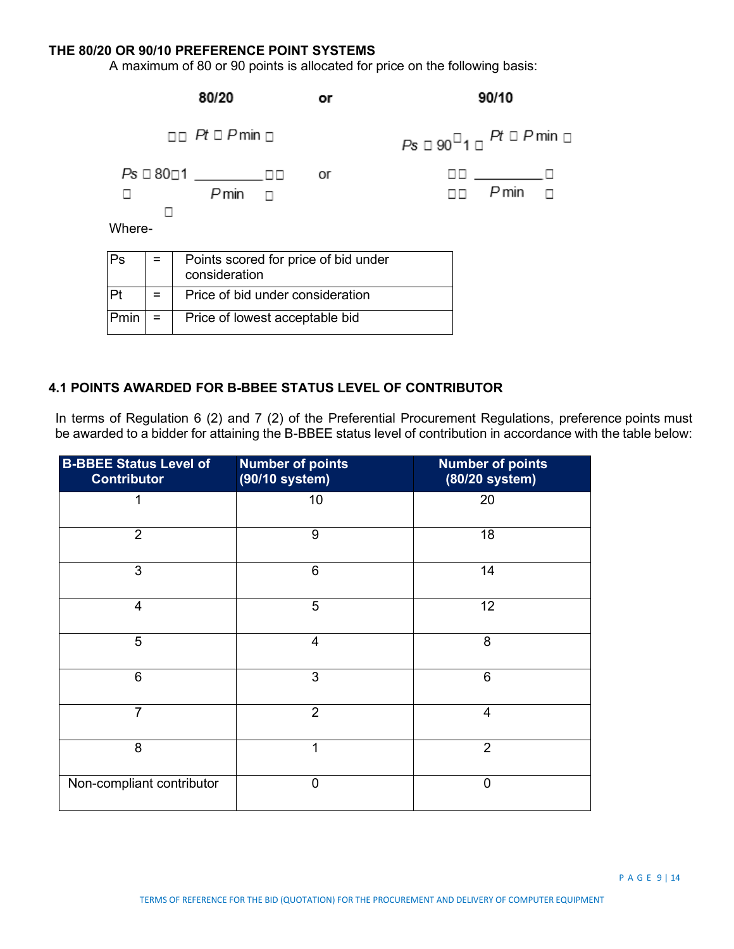#### **THE 80/20 OR 90/10 PREFERENCE POINT SYSTEMS**

A maximum of 80 or 90 points is allocated for price on the following basis:



## **4.1 POINTS AWARDED FOR B-BBEE STATUS LEVEL OF CONTRIBUTOR**

In terms of Regulation 6 (2) and 7 (2) of the Preferential Procurement Regulations, preference points must be awarded to a bidder for attaining the B-BBEE status level of contribution in accordance with the table below:

| <b>B-BBEE Status Level of</b><br><b>Contributor</b> | <b>Number of points</b><br>(90/10 system) | <b>Number of points</b><br>(80/20 system) |
|-----------------------------------------------------|-------------------------------------------|-------------------------------------------|
| 1                                                   | 10                                        | 20                                        |
| $\overline{2}$                                      | 9                                         | 18                                        |
| 3                                                   | 6                                         | 14                                        |
| $\overline{4}$                                      | 5                                         | 12                                        |
| 5                                                   | 4                                         | 8                                         |
| 6                                                   | 3                                         | 6                                         |
| $\overline{7}$                                      | $\overline{2}$                            | 4                                         |
| 8                                                   | 1                                         | $\overline{2}$                            |
| Non-compliant contributor                           | 0                                         | $\overline{0}$                            |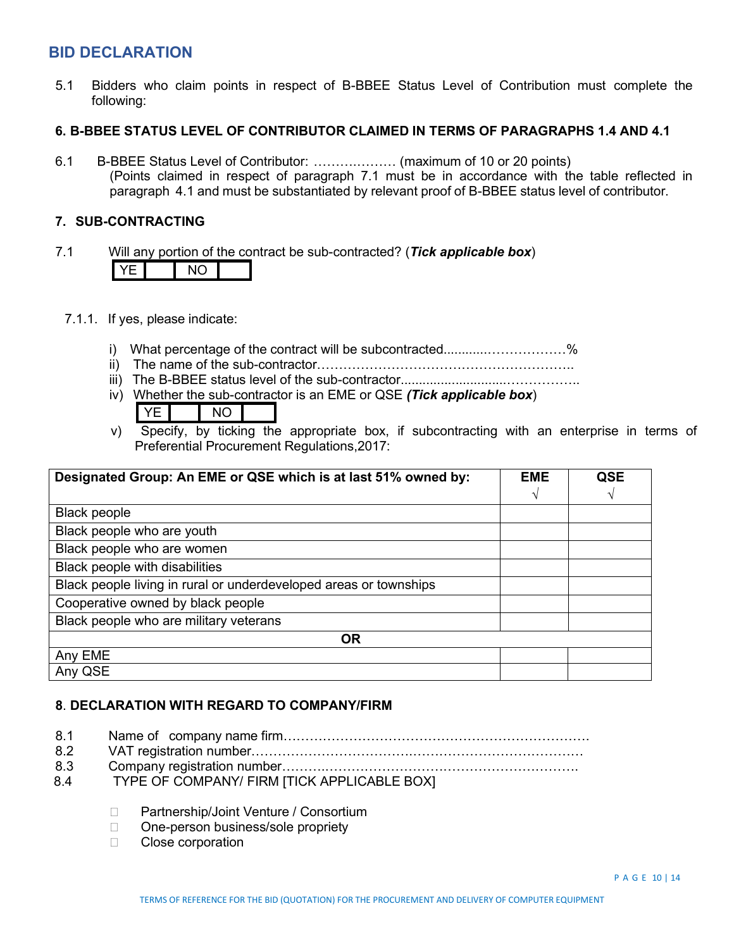# **BID DECLARATION**

5.1 Bidders who claim points in respect of B-BBEE Status Level of Contribution must complete the following:

#### **6. B-BBEE STATUS LEVEL OF CONTRIBUTOR CLAIMED IN TERMS OF PARAGRAPHS 1.4 AND 4.1**

6.1 B-BBEE Status Level of Contributor: ……….……… (maximum of 10 or 20 points) (Points claimed in respect of paragraph 7.1 must be in accordance with the table reflected in paragraph 4.1 and must be substantiated by relevant proof of B-BBEE status level of contributor.

#### **7. SUB-CONTRACTING**

- 7.1 Will any portion of the contract be sub-contracted? (*Tick applicable box*) YE NO
	- 7.1.1. If yes, please indicate:
		- i) What percentage of the contract will be subcontracted..........................%
		- ii) The name of the sub-contractor…………………………………………………..
		- iii) The B-BBEE status level of the sub-contractor.............................……………..
		- iv) Whether the sub-contractor is an EME or QSE *(Tick applicable box*)
			- YEL INO
		- v) Specify, by ticking the appropriate box, if subcontracting with an enterprise in terms of Preferential Procurement Regulations,2017:

| Designated Group: An EME or QSE which is at last 51% owned by:    | <b>EME</b> | <b>QSE</b> |
|-------------------------------------------------------------------|------------|------------|
|                                                                   |            |            |
| <b>Black people</b>                                               |            |            |
| Black people who are youth                                        |            |            |
| Black people who are women                                        |            |            |
| Black people with disabilities                                    |            |            |
| Black people living in rural or underdeveloped areas or townships |            |            |
| Cooperative owned by black people                                 |            |            |
| Black people who are military veterans                            |            |            |
| <b>OR</b>                                                         |            |            |
| Any EME                                                           |            |            |
| Any QSE                                                           |            |            |

## **8**. **DECLARATION WITH REGARD TO COMPANY/FIRM**

- 8.1 Name of company name firm…………………………………………………………….
- 8.2 VAT registration number……………………………….…………………………………
- 8.3 Company registration number……….………………………………………………….
- 8.4 TYPE OF COMPANY/ FIRM [TICK APPLICABLE BOX]
	- □ Partnership/Joint Venture / Consortium
	- □ One-person business/sole propriety
	- □ Close corporation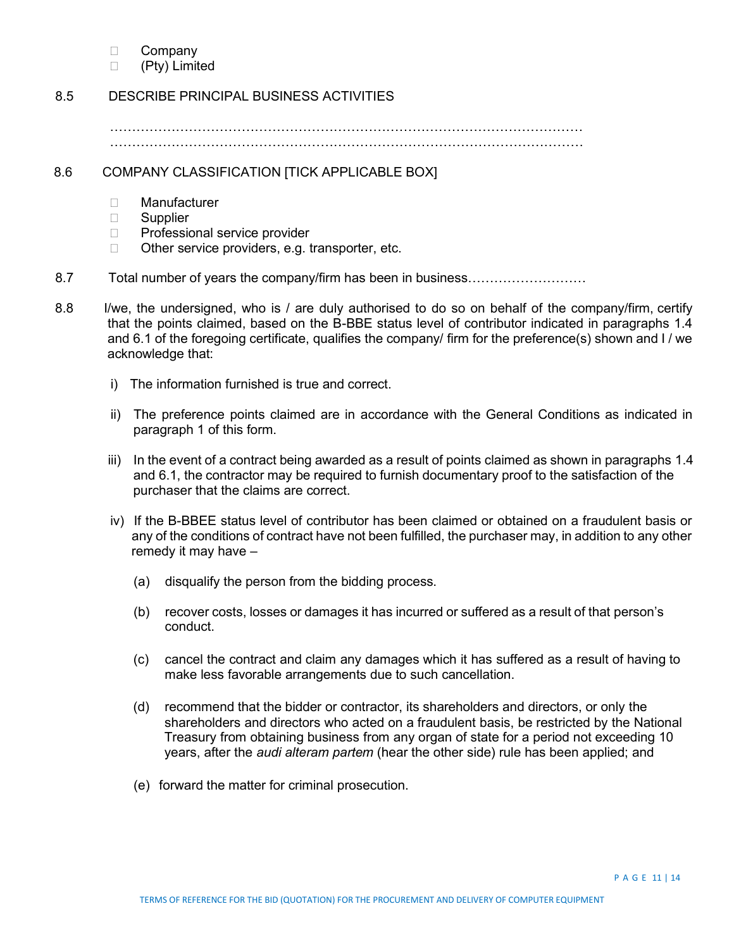- □ Company
- (Pty) Limited

#### 8.5 DESCRIBE PRINCIPAL BUSINESS ACTIVITIES

……………………………………………………………………………………………… ………………………………………………………………………………………………

#### 8.6 COMPANY CLASSIFICATION [TICK APPLICABLE BOX]

- □ Manufacturer
- □ Supplier
- □ Professional service provider
- □ Other service providers, e.g. transporter, etc.
- 8.7 Total number of years the company/firm has been in business………………………
- 8.8 I/we, the undersigned, who is / are duly authorised to do so on behalf of the company/firm, certify that the points claimed, based on the B-BBE status level of contributor indicated in paragraphs 1.4 and 6.1 of the foregoing certificate, qualifies the company/ firm for the preference(s) shown and I / we acknowledge that:
	- i) The information furnished is true and correct.
	- ii) The preference points claimed are in accordance with the General Conditions as indicated in paragraph 1 of this form.
	- iii) In the event of a contract being awarded as a result of points claimed as shown in paragraphs 1.4 and 6.1, the contractor may be required to furnish documentary proof to the satisfaction of the purchaser that the claims are correct.
	- iv) If the B-BBEE status level of contributor has been claimed or obtained on a fraudulent basis or any of the conditions of contract have not been fulfilled, the purchaser may, in addition to any other remedy it may have –
		- (a) disqualify the person from the bidding process.
		- (b) recover costs, losses or damages it has incurred or suffered as a result of that person's conduct.
		- (c) cancel the contract and claim any damages which it has suffered as a result of having to make less favorable arrangements due to such cancellation.
		- (d) recommend that the bidder or contractor, its shareholders and directors, or only the shareholders and directors who acted on a fraudulent basis, be restricted by the National Treasury from obtaining business from any organ of state for a period not exceeding 10 years, after the *audi alteram partem* (hear the other side) rule has been applied; and
		- (e) forward the matter for criminal prosecution.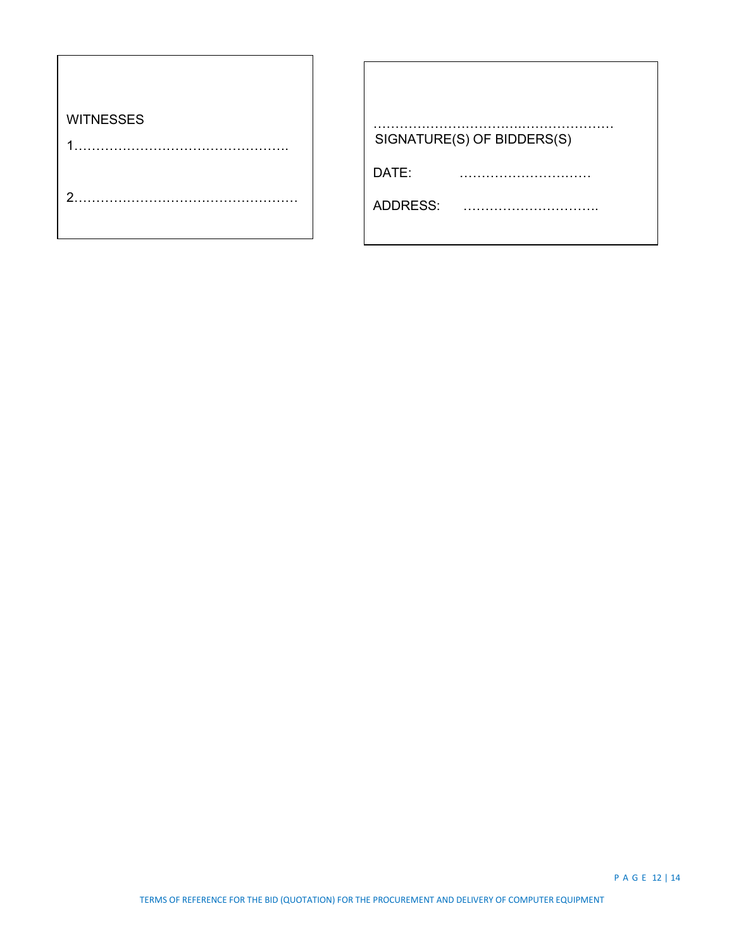| <b>WITNESSES</b> |                            |
|------------------|----------------------------|
|                  | SIGNATURE(S) OF BIDDERS(S) |
|                  | DATE:                      |
| າ                | ADDRESS:                   |
|                  |                            |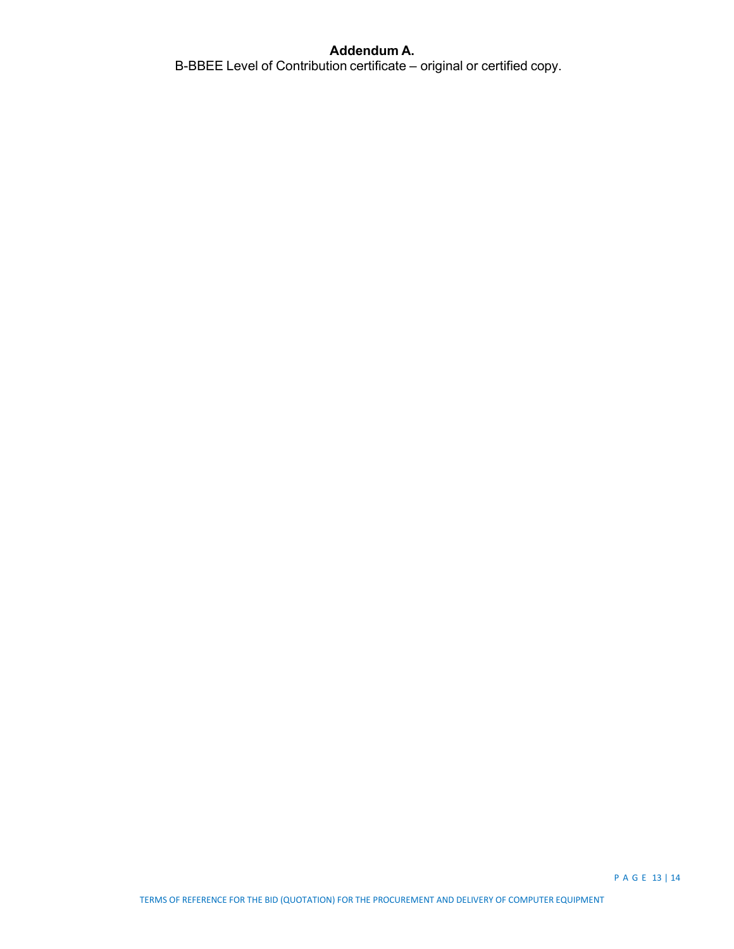# **Addendum A.**

B-BBEE Level of Contribution certificate – original or certified copy.